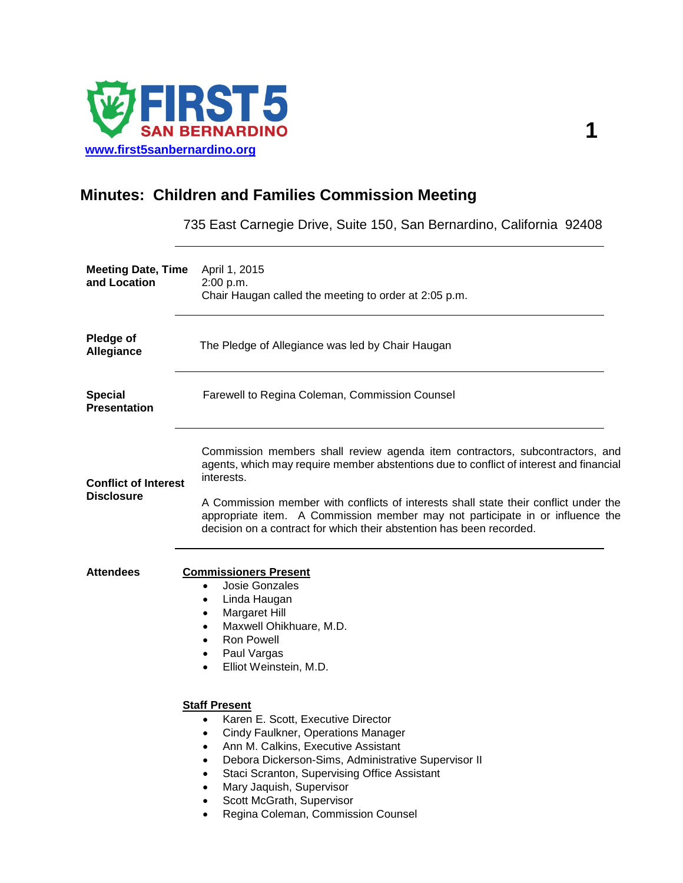

## **Minutes: Children and Families Commission Meeting**

735 East Carnegie Drive, Suite 150, San Bernardino, California 92408

| <b>Meeting Date, Time</b><br>and Location        | April 1, 2015<br>2:00 p.m.<br>Chair Haugan called the meeting to order at 2:05 p.m.                                                                                                                                                                                                                                                                                                                         |
|--------------------------------------------------|-------------------------------------------------------------------------------------------------------------------------------------------------------------------------------------------------------------------------------------------------------------------------------------------------------------------------------------------------------------------------------------------------------------|
| Pledge of<br>Allegiance                          | The Pledge of Allegiance was led by Chair Haugan                                                                                                                                                                                                                                                                                                                                                            |
| <b>Special</b><br><b>Presentation</b>            | Farewell to Regina Coleman, Commission Counsel                                                                                                                                                                                                                                                                                                                                                              |
| <b>Conflict of Interest</b><br><b>Disclosure</b> | Commission members shall review agenda item contractors, subcontractors, and<br>agents, which may require member abstentions due to conflict of interest and financial<br>interests.<br>A Commission member with conflicts of interests shall state their conflict under the<br>appropriate item. A Commission member may not participate in or influence the                                               |
| <b>Attendees</b>                                 | decision on a contract for which their abstention has been recorded.<br><b>Commissioners Present</b>                                                                                                                                                                                                                                                                                                        |
|                                                  | Josie Gonzales<br>$\bullet$<br>Linda Haugan<br>$\bullet$<br>Margaret Hill<br>$\bullet$<br>Maxwell Ohikhuare, M.D.<br><b>Ron Powell</b><br>$\bullet$<br>Paul Vargas<br>$\bullet$<br>Elliot Weinstein, M.D.<br>$\bullet$                                                                                                                                                                                      |
|                                                  | <b>Staff Present</b><br>Karen E. Scott, Executive Director<br>$\bullet$<br>Cindy Faulkner, Operations Manager<br>٠<br>Ann M. Calkins, Executive Assistant<br>$\bullet$<br>Debora Dickerson-Sims, Administrative Supervisor II<br>$\bullet$<br>Staci Scranton, Supervising Office Assistant<br>Mary Jaquish, Supervisor<br>٠<br>Scott McGrath, Supervisor<br>Regina Coleman, Commission Counsel<br>$\bullet$ |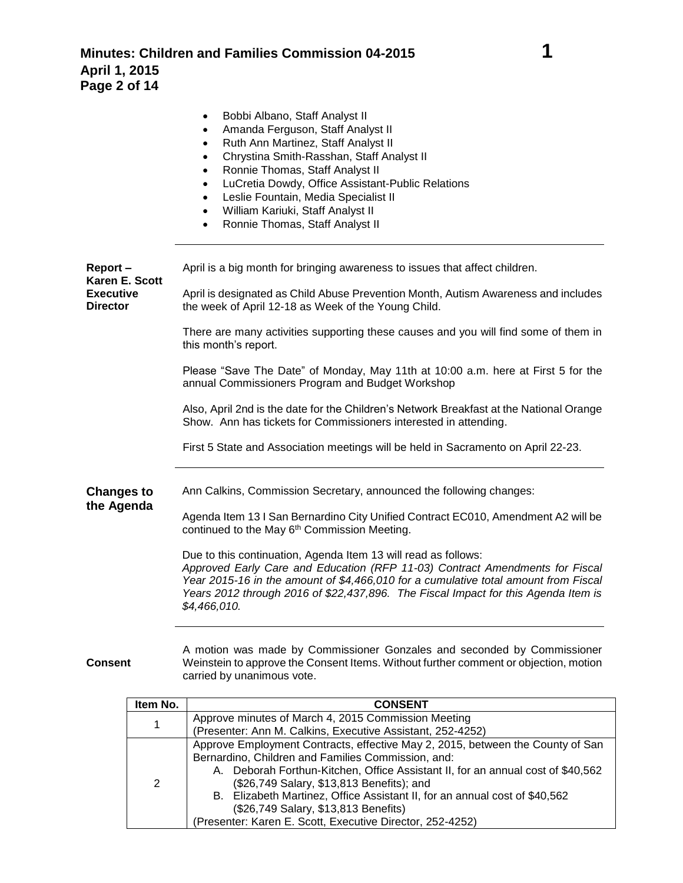|                                     | Bobbi Albano, Staff Analyst II<br>٠<br>Amanda Ferguson, Staff Analyst II<br>$\bullet$<br>Ruth Ann Martinez, Staff Analyst II<br>$\bullet$<br>Chrystina Smith-Rasshan, Staff Analyst II<br>$\bullet$<br>Ronnie Thomas, Staff Analyst II<br>$\bullet$<br>LuCretia Dowdy, Office Assistant-Public Relations<br>$\bullet$<br>Leslie Fountain, Media Specialist II<br>$\bullet$<br>William Kariuki, Staff Analyst II<br>$\bullet$<br>Ronnie Thomas, Staff Analyst II |
|-------------------------------------|-----------------------------------------------------------------------------------------------------------------------------------------------------------------------------------------------------------------------------------------------------------------------------------------------------------------------------------------------------------------------------------------------------------------------------------------------------------------|
| Report-<br>Karen E. Scott           | April is a big month for bringing awareness to issues that affect children.                                                                                                                                                                                                                                                                                                                                                                                     |
| <b>Executive</b><br><b>Director</b> | April is designated as Child Abuse Prevention Month, Autism Awareness and includes<br>the week of April 12-18 as Week of the Young Child.                                                                                                                                                                                                                                                                                                                       |
|                                     | There are many activities supporting these causes and you will find some of them in<br>this month's report.                                                                                                                                                                                                                                                                                                                                                     |
|                                     | Please "Save The Date" of Monday, May 11th at 10:00 a.m. here at First 5 for the<br>annual Commissioners Program and Budget Workshop                                                                                                                                                                                                                                                                                                                            |
|                                     | Also, April 2nd is the date for the Children's Network Breakfast at the National Orange<br>Show. Ann has tickets for Commissioners interested in attending.                                                                                                                                                                                                                                                                                                     |
|                                     | First 5 State and Association meetings will be held in Sacramento on April 22-23.                                                                                                                                                                                                                                                                                                                                                                               |
| <b>Changes to</b>                   | Ann Calkins, Commission Secretary, announced the following changes:                                                                                                                                                                                                                                                                                                                                                                                             |
| the Agenda                          | Agenda Item 13 I San Bernardino City Unified Contract EC010, Amendment A2 will be<br>continued to the May 6 <sup>th</sup> Commission Meeting.                                                                                                                                                                                                                                                                                                                   |
|                                     | Due to this continuation, Agenda Item 13 will read as follows:<br>Approved Early Care and Education (RFP 11-03) Contract Amendments for Fiscal<br>Year 2015-16 in the amount of \$4,466,010 for a cumulative total amount from Fiscal<br>Years 2012 through 2016 of \$22,437,896. The Fiscal Impact for this Agenda Item is<br>\$4,466,010.                                                                                                                     |
|                                     | A metica waa mada ku Cammindonar Cantalan and naanndad ku Cammindo                                                                                                                                                                                                                                                                                                                                                                                              |

**Consent**

A motion was made by Commissioner Gonzales and seconded by Commissioner Weinstein to approve the Consent Items. Without further comment or objection, motion carried by unanimous vote.

| Item No. | <b>CONSENT</b>                                                                                                                                                                                                                                                                                                                                                                                                                                          |
|----------|---------------------------------------------------------------------------------------------------------------------------------------------------------------------------------------------------------------------------------------------------------------------------------------------------------------------------------------------------------------------------------------------------------------------------------------------------------|
| 1        | Approve minutes of March 4, 2015 Commission Meeting                                                                                                                                                                                                                                                                                                                                                                                                     |
|          | (Presenter: Ann M. Calkins, Executive Assistant, 252-4252)                                                                                                                                                                                                                                                                                                                                                                                              |
| 2        | Approve Employment Contracts, effective May 2, 2015, between the County of San<br>Bernardino, Children and Families Commission, and:<br>A. Deborah Forthun-Kitchen, Office Assistant II, for an annual cost of \$40,562<br>(\$26,749 Salary, \$13,813 Benefits); and<br>B. Elizabeth Martinez, Office Assistant II, for an annual cost of \$40,562<br>(\$26,749 Salary, \$13,813 Benefits)<br>(Presenter: Karen E. Scott, Executive Director, 252-4252) |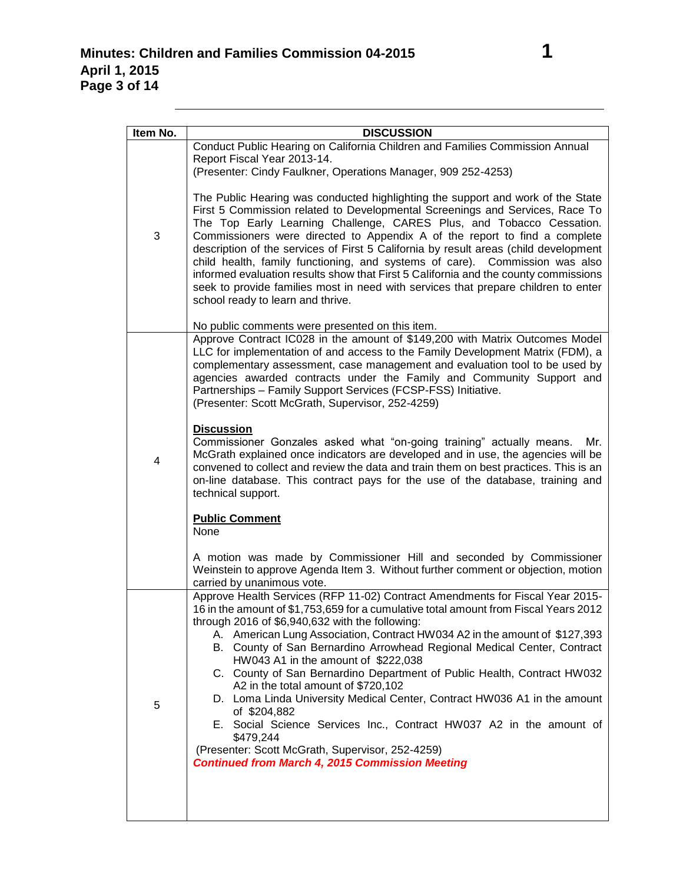| Item No. | <b>DISCUSSION</b>                                                                                                                                                                                                                                                                                                                                                                                                                                                                                                                                                                                                                                                                                                                                                                                                                                                      |
|----------|------------------------------------------------------------------------------------------------------------------------------------------------------------------------------------------------------------------------------------------------------------------------------------------------------------------------------------------------------------------------------------------------------------------------------------------------------------------------------------------------------------------------------------------------------------------------------------------------------------------------------------------------------------------------------------------------------------------------------------------------------------------------------------------------------------------------------------------------------------------------|
|          | Conduct Public Hearing on California Children and Families Commission Annual                                                                                                                                                                                                                                                                                                                                                                                                                                                                                                                                                                                                                                                                                                                                                                                           |
|          | Report Fiscal Year 2013-14.                                                                                                                                                                                                                                                                                                                                                                                                                                                                                                                                                                                                                                                                                                                                                                                                                                            |
|          | (Presenter: Cindy Faulkner, Operations Manager, 909 252-4253)                                                                                                                                                                                                                                                                                                                                                                                                                                                                                                                                                                                                                                                                                                                                                                                                          |
| 3        | The Public Hearing was conducted highlighting the support and work of the State<br>First 5 Commission related to Developmental Screenings and Services, Race To<br>The Top Early Learning Challenge, CARES Plus, and Tobacco Cessation.<br>Commissioners were directed to Appendix A of the report to find a complete<br>description of the services of First 5 California by result areas (child development<br>child health, family functioning, and systems of care). Commission was also<br>informed evaluation results show that First 5 California and the county commissions<br>seek to provide families most in need with services that prepare children to enter<br>school ready to learn and thrive.                                                                                                                                                         |
|          | No public comments were presented on this item.                                                                                                                                                                                                                                                                                                                                                                                                                                                                                                                                                                                                                                                                                                                                                                                                                        |
| 4        | Approve Contract IC028 in the amount of \$149,200 with Matrix Outcomes Model<br>LLC for implementation of and access to the Family Development Matrix (FDM), a<br>complementary assessment, case management and evaluation tool to be used by<br>agencies awarded contracts under the Family and Community Support and<br>Partnerships - Family Support Services (FCSP-FSS) Initiative.<br>(Presenter: Scott McGrath, Supervisor, 252-4259)<br><b>Discussion</b><br>Commissioner Gonzales asked what "on-going training" actually means.<br>Mr.<br>McGrath explained once indicators are developed and in use, the agencies will be                                                                                                                                                                                                                                    |
|          | convened to collect and review the data and train them on best practices. This is an<br>on-line database. This contract pays for the use of the database, training and<br>technical support.<br><b>Public Comment</b><br>None<br>A motion was made by Commissioner Hill and seconded by Commissioner                                                                                                                                                                                                                                                                                                                                                                                                                                                                                                                                                                   |
|          | Weinstein to approve Agenda Item 3. Without further comment or objection, motion                                                                                                                                                                                                                                                                                                                                                                                                                                                                                                                                                                                                                                                                                                                                                                                       |
| 5        | carried by unanimous vote.<br>Approve Health Services (RFP 11-02) Contract Amendments for Fiscal Year 2015-<br>16 in the amount of \$1,753,659 for a cumulative total amount from Fiscal Years 2012<br>through 2016 of \$6,940,632 with the following:<br>A. American Lung Association, Contract HW034 A2 in the amount of \$127,393<br>B. County of San Bernardino Arrowhead Regional Medical Center, Contract<br>HW043 A1 in the amount of \$222,038<br>C. County of San Bernardino Department of Public Health, Contract HW032<br>A2 in the total amount of \$720,102<br>D. Loma Linda University Medical Center, Contract HW036 A1 in the amount<br>of \$204,882<br>E. Social Science Services Inc., Contract HW037 A2 in the amount of<br>\$479,244<br>(Presenter: Scott McGrath, Supervisor, 252-4259)<br><b>Continued from March 4, 2015 Commission Meeting</b> |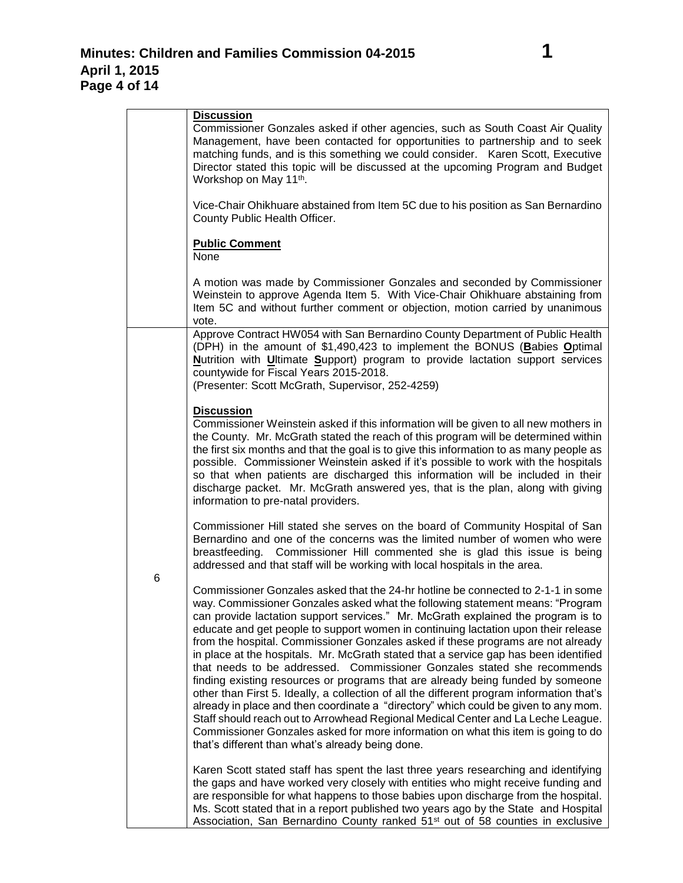|   | <b>Discussion</b>                                                                                                                                                                                                                                                                                                                                                                                                                                                                                                                                                                                                                                                                                                                                                                                                                                                                                                                                                                                                                                                                                      |
|---|--------------------------------------------------------------------------------------------------------------------------------------------------------------------------------------------------------------------------------------------------------------------------------------------------------------------------------------------------------------------------------------------------------------------------------------------------------------------------------------------------------------------------------------------------------------------------------------------------------------------------------------------------------------------------------------------------------------------------------------------------------------------------------------------------------------------------------------------------------------------------------------------------------------------------------------------------------------------------------------------------------------------------------------------------------------------------------------------------------|
|   | Commissioner Gonzales asked if other agencies, such as South Coast Air Quality<br>Management, have been contacted for opportunities to partnership and to seek<br>matching funds, and is this something we could consider.  Karen Scott, Executive<br>Director stated this topic will be discussed at the upcoming Program and Budget<br>Workshop on May 11 <sup>th</sup> .                                                                                                                                                                                                                                                                                                                                                                                                                                                                                                                                                                                                                                                                                                                            |
|   | Vice-Chair Ohikhuare abstained from Item 5C due to his position as San Bernardino<br>County Public Health Officer.                                                                                                                                                                                                                                                                                                                                                                                                                                                                                                                                                                                                                                                                                                                                                                                                                                                                                                                                                                                     |
|   | <b>Public Comment</b><br>None                                                                                                                                                                                                                                                                                                                                                                                                                                                                                                                                                                                                                                                                                                                                                                                                                                                                                                                                                                                                                                                                          |
|   | A motion was made by Commissioner Gonzales and seconded by Commissioner<br>Weinstein to approve Agenda Item 5. With Vice-Chair Ohikhuare abstaining from<br>Item 5C and without further comment or objection, motion carried by unanimous<br>vote.                                                                                                                                                                                                                                                                                                                                                                                                                                                                                                                                                                                                                                                                                                                                                                                                                                                     |
|   | Approve Contract HW054 with San Bernardino County Department of Public Health<br>(DPH) in the amount of \$1,490,423 to implement the BONUS (Babies Optimal<br>Nutrition with Ultimate Support) program to provide lactation support services<br>countywide for Fiscal Years 2015-2018.<br>(Presenter: Scott McGrath, Supervisor, 252-4259)                                                                                                                                                                                                                                                                                                                                                                                                                                                                                                                                                                                                                                                                                                                                                             |
| 6 | <b>Discussion</b><br>Commissioner Weinstein asked if this information will be given to all new mothers in<br>the County. Mr. McGrath stated the reach of this program will be determined within<br>the first six months and that the goal is to give this information to as many people as<br>possible. Commissioner Weinstein asked if it's possible to work with the hospitals<br>so that when patients are discharged this information will be included in their<br>discharge packet. Mr. McGrath answered yes, that is the plan, along with giving<br>information to pre-natal providers.                                                                                                                                                                                                                                                                                                                                                                                                                                                                                                          |
|   | Commissioner Hill stated she serves on the board of Community Hospital of San<br>Bernardino and one of the concerns was the limited number of women who were<br>Commissioner Hill commented she is glad this issue is being<br>breastfeeding.<br>addressed and that staff will be working with local hospitals in the area.                                                                                                                                                                                                                                                                                                                                                                                                                                                                                                                                                                                                                                                                                                                                                                            |
|   | Commissioner Gonzales asked that the 24-hr hotline be connected to 2-1-1 in some<br>way. Commissioner Gonzales asked what the following statement means: "Program<br>can provide lactation support services." Mr. McGrath explained the program is to<br>educate and get people to support women in continuing lactation upon their release<br>from the hospital. Commissioner Gonzales asked if these programs are not already<br>in place at the hospitals. Mr. McGrath stated that a service gap has been identified<br>that needs to be addressed. Commissioner Gonzales stated she recommends<br>finding existing resources or programs that are already being funded by someone<br>other than First 5. Ideally, a collection of all the different program information that's<br>already in place and then coordinate a "directory" which could be given to any mom.<br>Staff should reach out to Arrowhead Regional Medical Center and La Leche League.<br>Commissioner Gonzales asked for more information on what this item is going to do<br>that's different than what's already being done. |
|   | Karen Scott stated staff has spent the last three years researching and identifying<br>the gaps and have worked very closely with entities who might receive funding and<br>are responsible for what happens to those babies upon discharge from the hospital.<br>Ms. Scott stated that in a report published two years ago by the State and Hospital<br>Association, San Bernardino County ranked 51 <sup>st</sup> out of 58 counties in exclusive                                                                                                                                                                                                                                                                                                                                                                                                                                                                                                                                                                                                                                                    |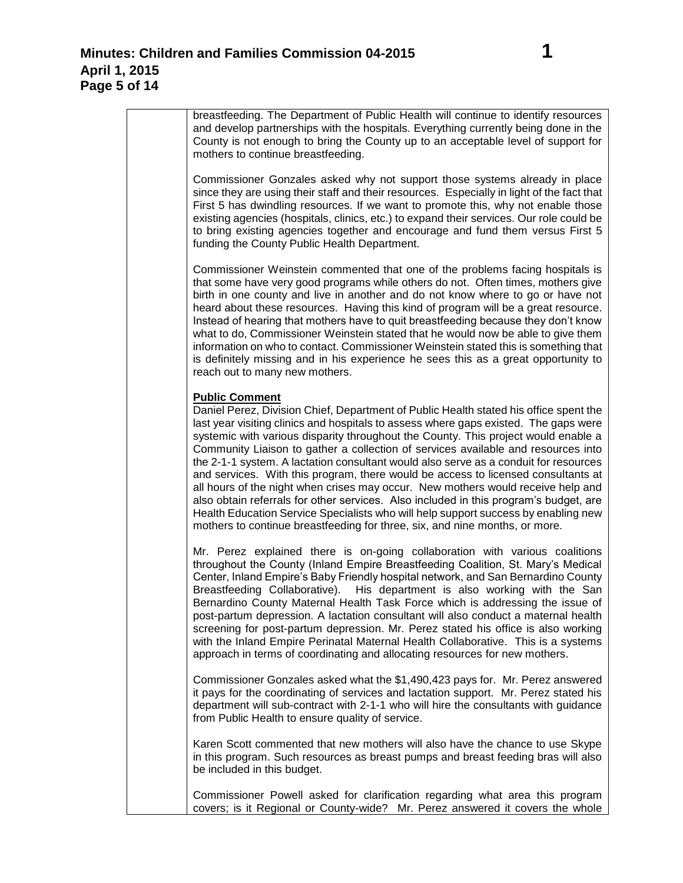breastfeeding. The Department of Public Health will continue to identify resources and develop partnerships with the hospitals. Everything currently being done in the County is not enough to bring the County up to an acceptable level of support for mothers to continue breastfeeding.

Commissioner Gonzales asked why not support those systems already in place since they are using their staff and their resources. Especially in light of the fact that First 5 has dwindling resources. If we want to promote this, why not enable those existing agencies (hospitals, clinics, etc.) to expand their services. Our role could be to bring existing agencies together and encourage and fund them versus First 5 funding the County Public Health Department.

Commissioner Weinstein commented that one of the problems facing hospitals is that some have very good programs while others do not. Often times, mothers give birth in one county and live in another and do not know where to go or have not heard about these resources. Having this kind of program will be a great resource. Instead of hearing that mothers have to quit breastfeeding because they don't know what to do, Commissioner Weinstein stated that he would now be able to give them information on who to contact. Commissioner Weinstein stated this is something that is definitely missing and in his experience he sees this as a great opportunity to reach out to many new mothers.

## **Public Comment**

Daniel Perez, Division Chief, Department of Public Health stated his office spent the last year visiting clinics and hospitals to assess where gaps existed. The gaps were systemic with various disparity throughout the County. This project would enable a Community Liaison to gather a collection of services available and resources into the 2-1-1 system. A lactation consultant would also serve as a conduit for resources and services. With this program, there would be access to licensed consultants at all hours of the night when crises may occur. New mothers would receive help and also obtain referrals for other services. Also included in this program's budget, are Health Education Service Specialists who will help support success by enabling new mothers to continue breastfeeding for three, six, and nine months, or more.

Mr. Perez explained there is on-going collaboration with various coalitions throughout the County (Inland Empire Breastfeeding Coalition, St. Mary's Medical Center, Inland Empire's Baby Friendly hospital network, and San Bernardino County Breastfeeding Collaborative). His department is also working with the San Bernardino County Maternal Health Task Force which is addressing the issue of post-partum depression. A lactation consultant will also conduct a maternal health screening for post-partum depression. Mr. Perez stated his office is also working with the Inland Empire Perinatal Maternal Health Collaborative. This is a systems approach in terms of coordinating and allocating resources for new mothers.

Commissioner Gonzales asked what the \$1,490,423 pays for. Mr. Perez answered it pays for the coordinating of services and lactation support. Mr. Perez stated his department will sub-contract with 2-1-1 who will hire the consultants with guidance from Public Health to ensure quality of service.

Karen Scott commented that new mothers will also have the chance to use Skype in this program. Such resources as breast pumps and breast feeding bras will also be included in this budget.

Commissioner Powell asked for clarification regarding what area this program covers; is it Regional or County-wide? Mr. Perez answered it covers the whole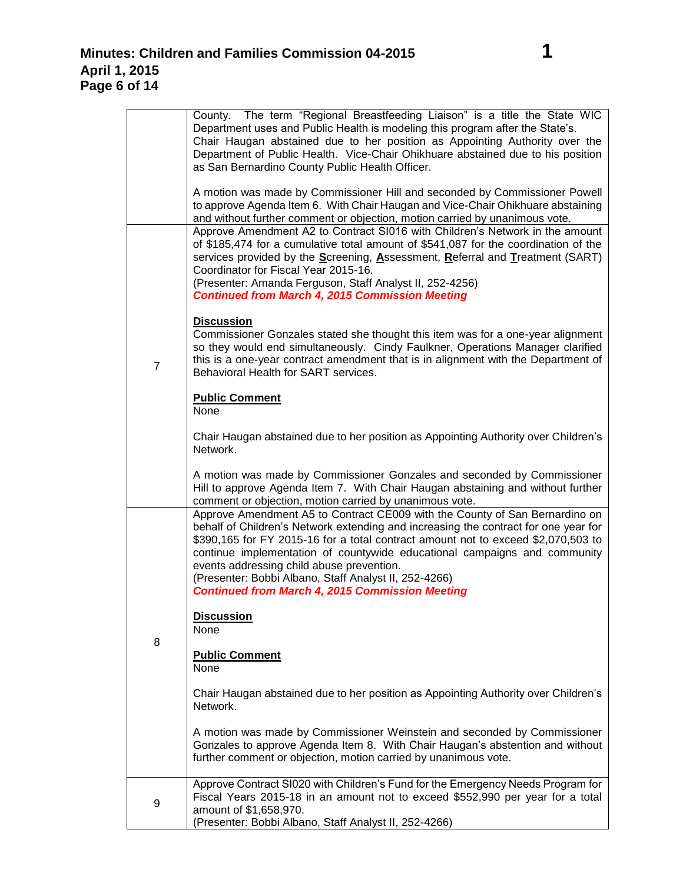$\overline{a}$ 

|                | County. The term "Regional Breastfeeding Liaison" is a title the State WIC<br>Department uses and Public Health is modeling this program after the State's.<br>Chair Haugan abstained due to her position as Appointing Authority over the<br>Department of Public Health. Vice-Chair Ohikhuare abstained due to his position<br>as San Bernardino County Public Health Officer.                                                                                                                     |
|----------------|------------------------------------------------------------------------------------------------------------------------------------------------------------------------------------------------------------------------------------------------------------------------------------------------------------------------------------------------------------------------------------------------------------------------------------------------------------------------------------------------------|
|                | A motion was made by Commissioner Hill and seconded by Commissioner Powell<br>to approve Agenda Item 6. With Chair Haugan and Vice-Chair Ohikhuare abstaining<br>and without further comment or objection, motion carried by unanimous vote.                                                                                                                                                                                                                                                         |
| $\overline{7}$ | Approve Amendment A2 to Contract SI016 with Children's Network in the amount<br>of \$185,474 for a cumulative total amount of \$541,087 for the coordination of the<br>services provided by the Screening, Assessment, Referral and Treatment (SART)<br>Coordinator for Fiscal Year 2015-16.<br>(Presenter: Amanda Ferguson, Staff Analyst II, 252-4256)<br><b>Continued from March 4, 2015 Commission Meeting</b>                                                                                   |
|                | <b>Discussion</b><br>Commissioner Gonzales stated she thought this item was for a one-year alignment<br>so they would end simultaneously. Cindy Faulkner, Operations Manager clarified<br>this is a one-year contract amendment that is in alignment with the Department of<br>Behavioral Health for SART services.                                                                                                                                                                                  |
|                | <b>Public Comment</b><br>None                                                                                                                                                                                                                                                                                                                                                                                                                                                                        |
|                | Chair Haugan abstained due to her position as Appointing Authority over Children's<br>Network.                                                                                                                                                                                                                                                                                                                                                                                                       |
|                | A motion was made by Commissioner Gonzales and seconded by Commissioner<br>Hill to approve Agenda Item 7. With Chair Haugan abstaining and without further<br>comment or objection, motion carried by unanimous vote.                                                                                                                                                                                                                                                                                |
| 8              | Approve Amendment A5 to Contract CE009 with the County of San Bernardino on<br>behalf of Children's Network extending and increasing the contract for one year for<br>\$390,165 for FY 2015-16 for a total contract amount not to exceed \$2,070,503 to<br>continue implementation of countywide educational campaigns and community<br>events addressing child abuse prevention.<br>(Presenter: Bobbi Albano, Staff Analyst II, 252-4266)<br><b>Continued from March 4, 2015 Commission Meeting</b> |
|                | <b>Discussion</b><br><b>None</b>                                                                                                                                                                                                                                                                                                                                                                                                                                                                     |
|                | <b>Public Comment</b><br>None                                                                                                                                                                                                                                                                                                                                                                                                                                                                        |
|                | Chair Haugan abstained due to her position as Appointing Authority over Children's<br>Network.                                                                                                                                                                                                                                                                                                                                                                                                       |
|                | A motion was made by Commissioner Weinstein and seconded by Commissioner<br>Gonzales to approve Agenda Item 8. With Chair Haugan's abstention and without<br>further comment or objection, motion carried by unanimous vote.                                                                                                                                                                                                                                                                         |
| 9              | Approve Contract SI020 with Children's Fund for the Emergency Needs Program for<br>Fiscal Years 2015-18 in an amount not to exceed \$552,990 per year for a total<br>amount of \$1,658,970.<br>(Presenter: Bobbi Albano, Staff Analyst II, 252-4266)                                                                                                                                                                                                                                                 |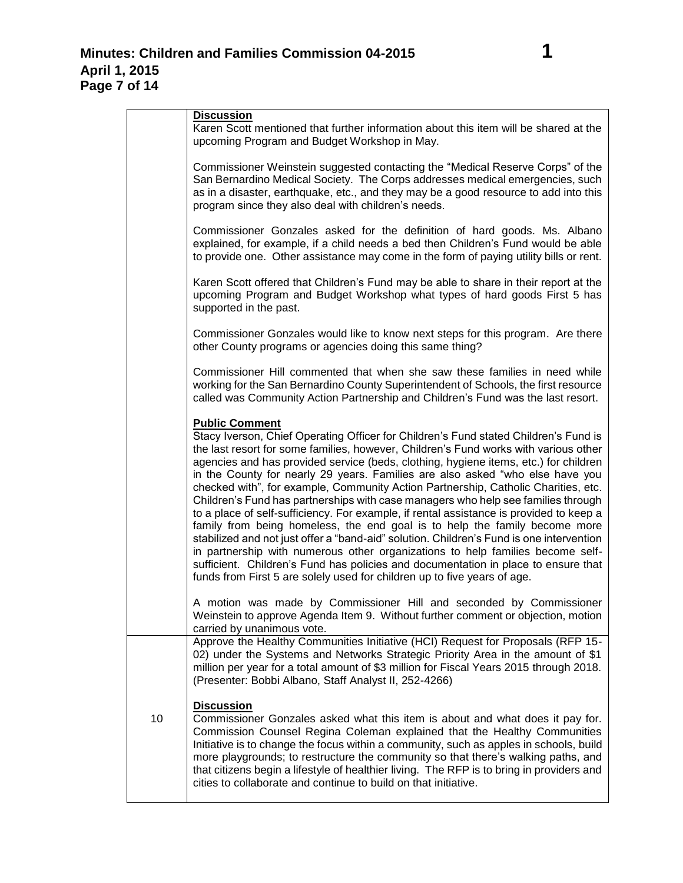|    | <b>Discussion</b><br>Karen Scott mentioned that further information about this item will be shared at the<br>upcoming Program and Budget Workshop in May.                                                                                                                                                                                                                                                                                                                                                                                                                                                                                                                                                                                                                                                                                                                                                                                                                                                                                                                          |
|----|------------------------------------------------------------------------------------------------------------------------------------------------------------------------------------------------------------------------------------------------------------------------------------------------------------------------------------------------------------------------------------------------------------------------------------------------------------------------------------------------------------------------------------------------------------------------------------------------------------------------------------------------------------------------------------------------------------------------------------------------------------------------------------------------------------------------------------------------------------------------------------------------------------------------------------------------------------------------------------------------------------------------------------------------------------------------------------|
|    | Commissioner Weinstein suggested contacting the "Medical Reserve Corps" of the<br>San Bernardino Medical Society. The Corps addresses medical emergencies, such<br>as in a disaster, earthquake, etc., and they may be a good resource to add into this<br>program since they also deal with children's needs.                                                                                                                                                                                                                                                                                                                                                                                                                                                                                                                                                                                                                                                                                                                                                                     |
|    | Commissioner Gonzales asked for the definition of hard goods. Ms. Albano<br>explained, for example, if a child needs a bed then Children's Fund would be able<br>to provide one. Other assistance may come in the form of paying utility bills or rent.                                                                                                                                                                                                                                                                                                                                                                                                                                                                                                                                                                                                                                                                                                                                                                                                                            |
|    | Karen Scott offered that Children's Fund may be able to share in their report at the<br>upcoming Program and Budget Workshop what types of hard goods First 5 has<br>supported in the past.                                                                                                                                                                                                                                                                                                                                                                                                                                                                                                                                                                                                                                                                                                                                                                                                                                                                                        |
|    | Commissioner Gonzales would like to know next steps for this program. Are there<br>other County programs or agencies doing this same thing?                                                                                                                                                                                                                                                                                                                                                                                                                                                                                                                                                                                                                                                                                                                                                                                                                                                                                                                                        |
|    | Commissioner Hill commented that when she saw these families in need while<br>working for the San Bernardino County Superintendent of Schools, the first resource<br>called was Community Action Partnership and Children's Fund was the last resort.                                                                                                                                                                                                                                                                                                                                                                                                                                                                                                                                                                                                                                                                                                                                                                                                                              |
|    | <b>Public Comment</b><br>Stacy Iverson, Chief Operating Officer for Children's Fund stated Children's Fund is<br>the last resort for some families, however, Children's Fund works with various other<br>agencies and has provided service (beds, clothing, hygiene items, etc.) for children<br>in the County for nearly 29 years. Families are also asked "who else have you<br>checked with", for example, Community Action Partnership, Catholic Charities, etc.<br>Children's Fund has partnerships with case managers who help see families through<br>to a place of self-sufficiency. For example, if rental assistance is provided to keep a<br>family from being homeless, the end goal is to help the family become more<br>stabilized and not just offer a "band-aid" solution. Children's Fund is one intervention<br>in partnership with numerous other organizations to help families become self-<br>sufficient. Children's Fund has policies and documentation in place to ensure that<br>funds from First 5 are solely used for children up to five years of age. |
|    | A motion was made by Commissioner Hill and seconded by Commissioner<br>Weinstein to approve Agenda Item 9. Without further comment or objection, motion<br>carried by unanimous vote.                                                                                                                                                                                                                                                                                                                                                                                                                                                                                                                                                                                                                                                                                                                                                                                                                                                                                              |
|    | Approve the Healthy Communities Initiative (HCI) Request for Proposals (RFP 15-<br>02) under the Systems and Networks Strategic Priority Area in the amount of \$1<br>million per year for a total amount of \$3 million for Fiscal Years 2015 through 2018.<br>(Presenter: Bobbi Albano, Staff Analyst II, 252-4266)                                                                                                                                                                                                                                                                                                                                                                                                                                                                                                                                                                                                                                                                                                                                                              |
| 10 | <b>Discussion</b><br>Commissioner Gonzales asked what this item is about and what does it pay for.<br>Commission Counsel Regina Coleman explained that the Healthy Communities<br>Initiative is to change the focus within a community, such as apples in schools, build<br>more playgrounds; to restructure the community so that there's walking paths, and<br>that citizens begin a lifestyle of healthier living. The RFP is to bring in providers and<br>cities to collaborate and continue to build on that initiative.                                                                                                                                                                                                                                                                                                                                                                                                                                                                                                                                                      |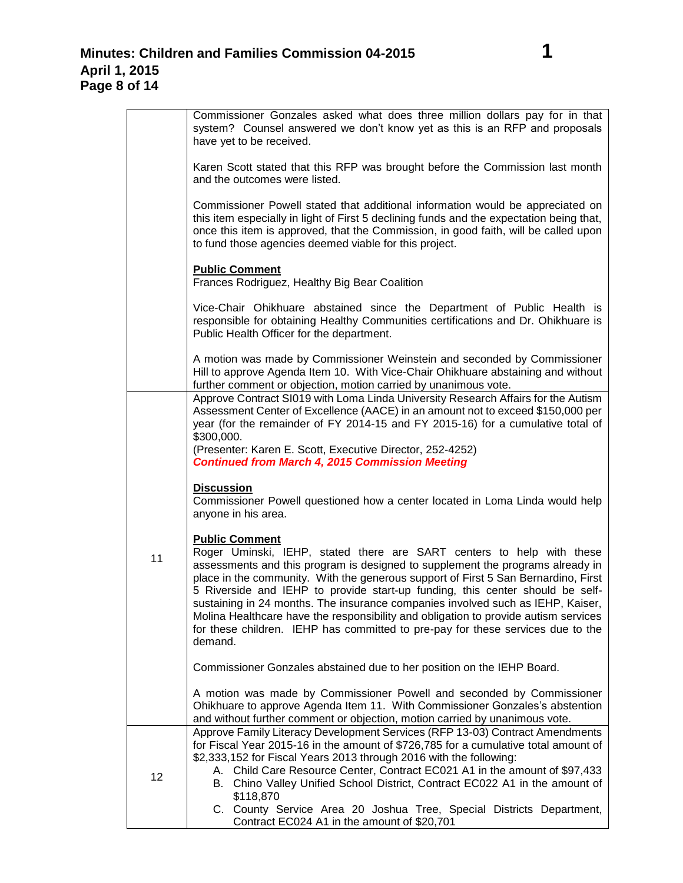|                 | Commissioner Gonzales asked what does three million dollars pay for in that<br>system? Counsel answered we don't know yet as this is an RFP and proposals<br>have yet to be received.                                                                                                                                                                                                                                                                                                                                                                                                                                           |
|-----------------|---------------------------------------------------------------------------------------------------------------------------------------------------------------------------------------------------------------------------------------------------------------------------------------------------------------------------------------------------------------------------------------------------------------------------------------------------------------------------------------------------------------------------------------------------------------------------------------------------------------------------------|
|                 | Karen Scott stated that this RFP was brought before the Commission last month<br>and the outcomes were listed.                                                                                                                                                                                                                                                                                                                                                                                                                                                                                                                  |
|                 | Commissioner Powell stated that additional information would be appreciated on<br>this item especially in light of First 5 declining funds and the expectation being that,<br>once this item is approved, that the Commission, in good faith, will be called upon<br>to fund those agencies deemed viable for this project.                                                                                                                                                                                                                                                                                                     |
|                 | <b>Public Comment</b><br>Frances Rodriguez, Healthy Big Bear Coalition                                                                                                                                                                                                                                                                                                                                                                                                                                                                                                                                                          |
|                 | Vice-Chair Ohikhuare abstained since the Department of Public Health is<br>responsible for obtaining Healthy Communities certifications and Dr. Ohikhuare is<br>Public Health Officer for the department.                                                                                                                                                                                                                                                                                                                                                                                                                       |
|                 | A motion was made by Commissioner Weinstein and seconded by Commissioner<br>Hill to approve Agenda Item 10. With Vice-Chair Ohikhuare abstaining and without<br>further comment or objection, motion carried by unanimous vote.                                                                                                                                                                                                                                                                                                                                                                                                 |
|                 | Approve Contract SI019 with Loma Linda University Research Affairs for the Autism<br>Assessment Center of Excellence (AACE) in an amount not to exceed \$150,000 per<br>year (for the remainder of FY 2014-15 and FY 2015-16) for a cumulative total of<br>\$300,000.                                                                                                                                                                                                                                                                                                                                                           |
| 11              | (Presenter: Karen E. Scott, Executive Director, 252-4252)<br><b>Continued from March 4, 2015 Commission Meeting</b>                                                                                                                                                                                                                                                                                                                                                                                                                                                                                                             |
|                 | <b>Discussion</b><br>Commissioner Powell questioned how a center located in Loma Linda would help<br>anyone in his area.                                                                                                                                                                                                                                                                                                                                                                                                                                                                                                        |
|                 | <b>Public Comment</b><br>Roger Uminski, IEHP, stated there are SART centers to help with these<br>assessments and this program is designed to supplement the programs already in<br>place in the community. With the generous support of First 5 San Bernardino, First<br>5 Riverside and IEHP to provide start-up funding, this center should be self-<br>sustaining in 24 months. The insurance companies involved such as IEHP, Kaiser,<br>Molina Healthcare have the responsibility and obligation to provide autism services<br>for these children. IEHP has committed to pre-pay for these services due to the<br>demand. |
|                 | Commissioner Gonzales abstained due to her position on the IEHP Board.                                                                                                                                                                                                                                                                                                                                                                                                                                                                                                                                                          |
|                 | A motion was made by Commissioner Powell and seconded by Commissioner<br>Ohikhuare to approve Agenda Item 11. With Commissioner Gonzales's abstention<br>and without further comment or objection, motion carried by unanimous vote.                                                                                                                                                                                                                                                                                                                                                                                            |
| 12 <sub>2</sub> | Approve Family Literacy Development Services (RFP 13-03) Contract Amendments<br>for Fiscal Year 2015-16 in the amount of \$726,785 for a cumulative total amount of<br>\$2,333,152 for Fiscal Years 2013 through 2016 with the following:<br>A. Child Care Resource Center, Contract EC021 A1 in the amount of \$97,433<br>B. Chino Valley Unified School District, Contract EC022 A1 in the amount of<br>\$118,870<br>C. County Service Area 20 Joshua Tree, Special Districts Department,                                                                                                                                     |
|                 | Contract EC024 A1 in the amount of \$20,701                                                                                                                                                                                                                                                                                                                                                                                                                                                                                                                                                                                     |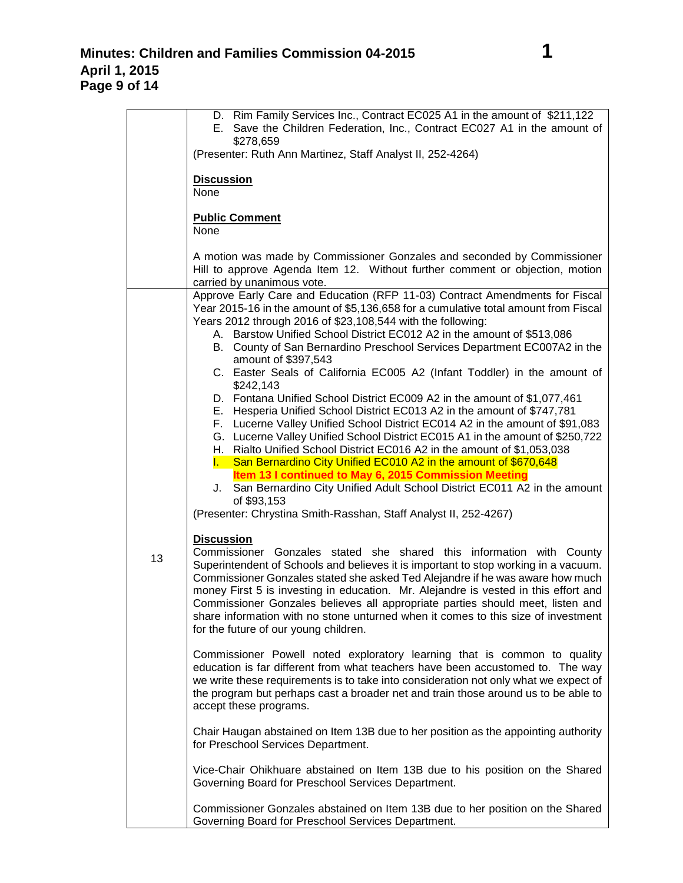|    | D. Rim Family Services Inc., Contract EC025 A1 in the amount of \$211,122<br>E. Save the Children Federation, Inc., Contract EC027 A1 in the amount of                                                                                                                                                                                                                                                                                                                                                                                                                                                                                                                                                                                                                                                                                                                                                                                                                                                                                                                                                                                                                                                                                                                                                                                                                                                                                                                                                                                                                                                                                                                                                                                                                                                                                                                                                                                                                                                                                                                                                                                                                                                                                                                                                                                                                                                                          |
|----|---------------------------------------------------------------------------------------------------------------------------------------------------------------------------------------------------------------------------------------------------------------------------------------------------------------------------------------------------------------------------------------------------------------------------------------------------------------------------------------------------------------------------------------------------------------------------------------------------------------------------------------------------------------------------------------------------------------------------------------------------------------------------------------------------------------------------------------------------------------------------------------------------------------------------------------------------------------------------------------------------------------------------------------------------------------------------------------------------------------------------------------------------------------------------------------------------------------------------------------------------------------------------------------------------------------------------------------------------------------------------------------------------------------------------------------------------------------------------------------------------------------------------------------------------------------------------------------------------------------------------------------------------------------------------------------------------------------------------------------------------------------------------------------------------------------------------------------------------------------------------------------------------------------------------------------------------------------------------------------------------------------------------------------------------------------------------------------------------------------------------------------------------------------------------------------------------------------------------------------------------------------------------------------------------------------------------------------------------------------------------------------------------------------------------------|
|    | \$278,659<br>(Presenter: Ruth Ann Martinez, Staff Analyst II, 252-4264)                                                                                                                                                                                                                                                                                                                                                                                                                                                                                                                                                                                                                                                                                                                                                                                                                                                                                                                                                                                                                                                                                                                                                                                                                                                                                                                                                                                                                                                                                                                                                                                                                                                                                                                                                                                                                                                                                                                                                                                                                                                                                                                                                                                                                                                                                                                                                         |
|    | <b>Discussion</b><br>None                                                                                                                                                                                                                                                                                                                                                                                                                                                                                                                                                                                                                                                                                                                                                                                                                                                                                                                                                                                                                                                                                                                                                                                                                                                                                                                                                                                                                                                                                                                                                                                                                                                                                                                                                                                                                                                                                                                                                                                                                                                                                                                                                                                                                                                                                                                                                                                                       |
|    | <b>Public Comment</b><br>None                                                                                                                                                                                                                                                                                                                                                                                                                                                                                                                                                                                                                                                                                                                                                                                                                                                                                                                                                                                                                                                                                                                                                                                                                                                                                                                                                                                                                                                                                                                                                                                                                                                                                                                                                                                                                                                                                                                                                                                                                                                                                                                                                                                                                                                                                                                                                                                                   |
|    | A motion was made by Commissioner Gonzales and seconded by Commissioner<br>Hill to approve Agenda Item 12. Without further comment or objection, motion<br>carried by unanimous vote.                                                                                                                                                                                                                                                                                                                                                                                                                                                                                                                                                                                                                                                                                                                                                                                                                                                                                                                                                                                                                                                                                                                                                                                                                                                                                                                                                                                                                                                                                                                                                                                                                                                                                                                                                                                                                                                                                                                                                                                                                                                                                                                                                                                                                                           |
| 13 | Approve Early Care and Education (RFP 11-03) Contract Amendments for Fiscal<br>Year 2015-16 in the amount of \$5,136,658 for a cumulative total amount from Fiscal<br>Years 2012 through 2016 of \$23,108,544 with the following:<br>A. Barstow Unified School District EC012 A2 in the amount of \$513,086<br>B. County of San Bernardino Preschool Services Department EC007A2 in the<br>amount of \$397,543<br>C. Easter Seals of California EC005 A2 (Infant Toddler) in the amount of<br>\$242,143<br>D. Fontana Unified School District EC009 A2 in the amount of \$1,077,461<br>E. Hesperia Unified School District EC013 A2 in the amount of \$747,781<br>F. Lucerne Valley Unified School District EC014 A2 in the amount of \$91,083<br>G. Lucerne Valley Unified School District EC015 A1 in the amount of \$250,722<br>H. Rialto Unified School District EC016 A2 in the amount of \$1,053,038<br>I. San Bernardino City Unified EC010 A2 in the amount of \$670,648<br>Item 13 I continued to May 6, 2015 Commission Meeting<br>J. San Bernardino City Unified Adult School District EC011 A2 in the amount<br>of \$93,153<br>(Presenter: Chrystina Smith-Rasshan, Staff Analyst II, 252-4267)<br><b>Discussion</b><br>Commissioner Gonzales stated she shared this information with County<br>Superintendent of Schools and believes it is important to stop working in a vacuum.<br>Commissioner Gonzales stated she asked Ted Alejandre if he was aware how much<br>money First 5 is investing in education. Mr. Alejandre is vested in this effort and<br>Commissioner Gonzales believes all appropriate parties should meet, listen and<br>share information with no stone unturned when it comes to this size of investment<br>for the future of our young children.<br>Commissioner Powell noted exploratory learning that is common to quality<br>education is far different from what teachers have been accustomed to. The way<br>we write these requirements is to take into consideration not only what we expect of<br>the program but perhaps cast a broader net and train those around us to be able to<br>accept these programs.<br>Chair Haugan abstained on Item 13B due to her position as the appointing authority<br>for Preschool Services Department.<br>Vice-Chair Ohikhuare abstained on Item 13B due to his position on the Shared<br>Governing Board for Preschool Services Department. |
|    | Commissioner Gonzales abstained on Item 13B due to her position on the Shared<br>Governing Board for Preschool Services Department.                                                                                                                                                                                                                                                                                                                                                                                                                                                                                                                                                                                                                                                                                                                                                                                                                                                                                                                                                                                                                                                                                                                                                                                                                                                                                                                                                                                                                                                                                                                                                                                                                                                                                                                                                                                                                                                                                                                                                                                                                                                                                                                                                                                                                                                                                             |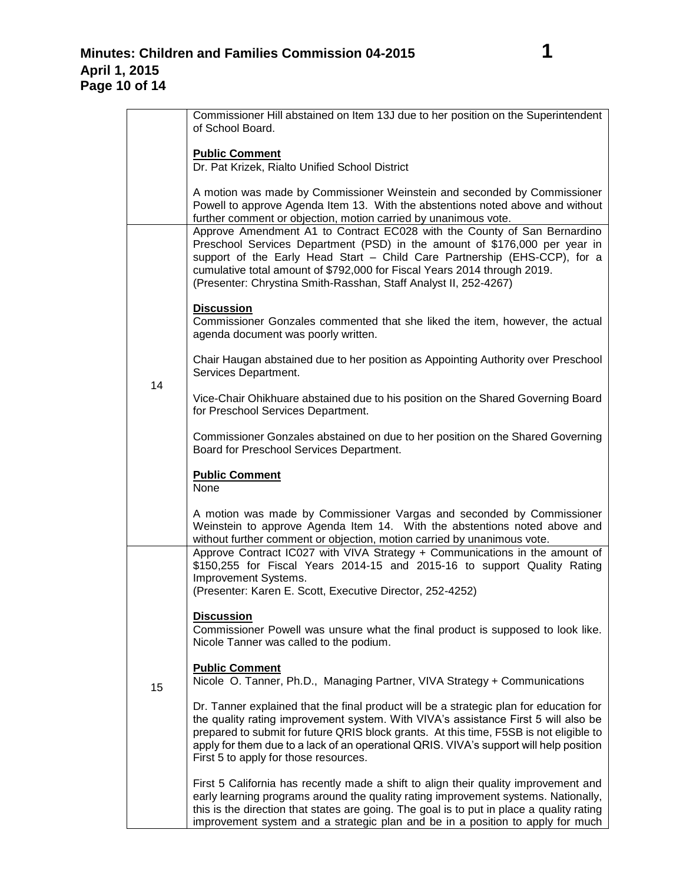|    | Commissioner Hill abstained on Item 13J due to her position on the Superintendent<br>of School Board.                                                                                                                                                                                                                                                                                                     |
|----|-----------------------------------------------------------------------------------------------------------------------------------------------------------------------------------------------------------------------------------------------------------------------------------------------------------------------------------------------------------------------------------------------------------|
|    | <b>Public Comment</b><br>Dr. Pat Krizek, Rialto Unified School District                                                                                                                                                                                                                                                                                                                                   |
|    | A motion was made by Commissioner Weinstein and seconded by Commissioner<br>Powell to approve Agenda Item 13. With the abstentions noted above and without<br>further comment or objection, motion carried by unanimous vote.                                                                                                                                                                             |
|    | Approve Amendment A1 to Contract EC028 with the County of San Bernardino<br>Preschool Services Department (PSD) in the amount of \$176,000 per year in<br>support of the Early Head Start - Child Care Partnership (EHS-CCP), for a<br>cumulative total amount of \$792,000 for Fiscal Years 2014 through 2019.<br>(Presenter: Chrystina Smith-Rasshan, Staff Analyst II, 252-4267)                       |
|    | <b>Discussion</b><br>Commissioner Gonzales commented that she liked the item, however, the actual<br>agenda document was poorly written.                                                                                                                                                                                                                                                                  |
| 14 | Chair Haugan abstained due to her position as Appointing Authority over Preschool<br>Services Department.                                                                                                                                                                                                                                                                                                 |
|    | Vice-Chair Ohikhuare abstained due to his position on the Shared Governing Board<br>for Preschool Services Department.                                                                                                                                                                                                                                                                                    |
|    | Commissioner Gonzales abstained on due to her position on the Shared Governing<br>Board for Preschool Services Department.                                                                                                                                                                                                                                                                                |
|    | <b>Public Comment</b><br>None                                                                                                                                                                                                                                                                                                                                                                             |
|    | A motion was made by Commissioner Vargas and seconded by Commissioner<br>Weinstein to approve Agenda Item 14. With the abstentions noted above and<br>without further comment or objection, motion carried by unanimous vote.<br>Approve Contract IC027 with VIVA Strategy + Communications in the amount of<br>\$150,255 for Fiscal Years 2014-15 and 2015-16 to support Quality Rating                  |
|    | Improvement Systems.<br>(Presenter: Karen E. Scott, Executive Director, 252-4252)                                                                                                                                                                                                                                                                                                                         |
|    | <b>Discussion</b><br>Commissioner Powell was unsure what the final product is supposed to look like.<br>Nicole Tanner was called to the podium.                                                                                                                                                                                                                                                           |
| 15 | <b>Public Comment</b><br>Nicole O. Tanner, Ph.D., Managing Partner, VIVA Strategy + Communications                                                                                                                                                                                                                                                                                                        |
|    | Dr. Tanner explained that the final product will be a strategic plan for education for<br>the quality rating improvement system. With VIVA's assistance First 5 will also be<br>prepared to submit for future QRIS block grants. At this time, F5SB is not eligible to<br>apply for them due to a lack of an operational QRIS. VIVA's support will help position<br>First 5 to apply for those resources. |
|    | First 5 California has recently made a shift to align their quality improvement and<br>early learning programs around the quality rating improvement systems. Nationally,<br>this is the direction that states are going. The goal is to put in place a quality rating<br>improvement system and a strategic plan and be in a position to apply for much                                                  |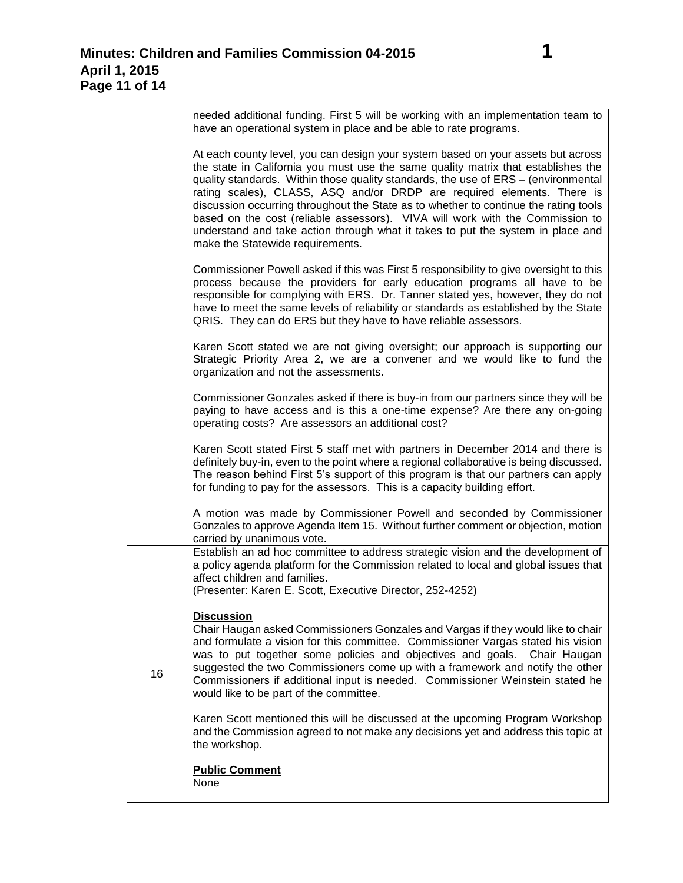| needed additional funding. First 5 will be working with an implementation team to<br>have an operational system in place and be able to rate programs.                                                                                                                                                                                                                                                                                                                                                                                                                                                                                |
|---------------------------------------------------------------------------------------------------------------------------------------------------------------------------------------------------------------------------------------------------------------------------------------------------------------------------------------------------------------------------------------------------------------------------------------------------------------------------------------------------------------------------------------------------------------------------------------------------------------------------------------|
| At each county level, you can design your system based on your assets but across<br>the state in California you must use the same quality matrix that establishes the<br>quality standards. Within those quality standards, the use of ERS - (environmental<br>rating scales), CLASS, ASQ and/or DRDP are required elements. There is<br>discussion occurring throughout the State as to whether to continue the rating tools<br>based on the cost (reliable assessors). VIVA will work with the Commission to<br>understand and take action through what it takes to put the system in place and<br>make the Statewide requirements. |
| Commissioner Powell asked if this was First 5 responsibility to give oversight to this<br>process because the providers for early education programs all have to be<br>responsible for complying with ERS. Dr. Tanner stated yes, however, they do not                                                                                                                                                                                                                                                                                                                                                                                |

process because the providers for early education programs all have to be responsible for complying with ERS. Dr. Tanner stated yes, however, they do not have to meet the same levels of reliability or standards as established by the State QRIS. They can do ERS but they have to have reliable assessors.

Karen Scott stated we are not giving oversight; our approach is supporting our Strategic Priority Area 2, we are a convener and we would like to fund the organization and not the assessments.

Commissioner Gonzales asked if there is buy-in from our partners since they will be paying to have access and is this a one-time expense? Are there any on-going operating costs? Are assessors an additional cost?

Karen Scott stated First 5 staff met with partners in December 2014 and there is definitely buy-in, even to the point where a regional collaborative is being discussed. The reason behind First 5's support of this program is that our partners can apply for funding to pay for the assessors. This is a capacity building effort.

A motion was made by Commissioner Powell and seconded by Commissioner Gonzales to approve Agenda Item 15. Without further comment or objection, motion carried by unanimous vote.

Establish an ad hoc committee to address strategic vision and the development of a policy agenda platform for the Commission related to local and global issues that affect children and families.

(Presenter: Karen E. Scott, Executive Director, 252-4252)

## **Discussion**

16

Chair Haugan asked Commissioners Gonzales and Vargas if they would like to chair and formulate a vision for this committee. Commissioner Vargas stated his vision was to put together some policies and objectives and goals. Chair Haugan suggested the two Commissioners come up with a framework and notify the other Commissioners if additional input is needed. Commissioner Weinstein stated he would like to be part of the committee.

Karen Scott mentioned this will be discussed at the upcoming Program Workshop and the Commission agreed to not make any decisions yet and address this topic at the workshop.

**Public Comment**

None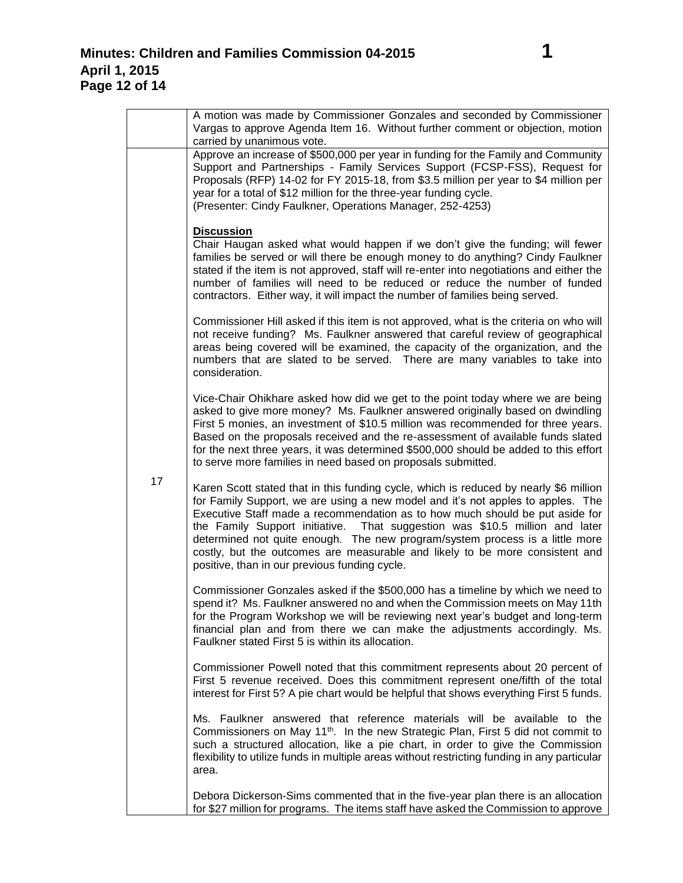|    | A motion was made by Commissioner Gonzales and seconded by Commissioner<br>Vargas to approve Agenda Item 16. Without further comment or objection, motion                                                                                                                                                                                                                                                                                                                                                                                                |
|----|----------------------------------------------------------------------------------------------------------------------------------------------------------------------------------------------------------------------------------------------------------------------------------------------------------------------------------------------------------------------------------------------------------------------------------------------------------------------------------------------------------------------------------------------------------|
| 17 | carried by unanimous vote.<br>Approve an increase of \$500,000 per year in funding for the Family and Community<br>Support and Partnerships - Family Services Support (FCSP-FSS), Request for<br>Proposals (RFP) 14-02 for FY 2015-18, from \$3.5 million per year to \$4 million per<br>year for a total of \$12 million for the three-year funding cycle.<br>(Presenter: Cindy Faulkner, Operations Manager, 252-4253)                                                                                                                                 |
|    | <b>Discussion</b><br>Chair Haugan asked what would happen if we don't give the funding; will fewer<br>families be served or will there be enough money to do anything? Cindy Faulkner<br>stated if the item is not approved, staff will re-enter into negotiations and either the<br>number of families will need to be reduced or reduce the number of funded<br>contractors. Either way, it will impact the number of families being served.                                                                                                           |
|    | Commissioner Hill asked if this item is not approved, what is the criteria on who will<br>not receive funding? Ms. Faulkner answered that careful review of geographical<br>areas being covered will be examined, the capacity of the organization, and the<br>numbers that are slated to be served. There are many variables to take into<br>consideration.                                                                                                                                                                                             |
|    | Vice-Chair Ohikhare asked how did we get to the point today where we are being<br>asked to give more money? Ms. Faulkner answered originally based on dwindling<br>First 5 monies, an investment of \$10.5 million was recommended for three years.<br>Based on the proposals received and the re-assessment of available funds slated<br>for the next three years, it was determined \$500,000 should be added to this effort<br>to serve more families in need based on proposals submitted.                                                           |
|    | Karen Scott stated that in this funding cycle, which is reduced by nearly \$6 million<br>for Family Support, we are using a new model and it's not apples to apples. The<br>Executive Staff made a recommendation as to how much should be put aside for<br>the Family Support initiative. That suggestion was \$10.5 million and later<br>determined not quite enough. The new program/system process is a little more<br>costly, but the outcomes are measurable and likely to be more consistent and<br>positive, than in our previous funding cycle. |
|    | Commissioner Gonzales asked if the \$500,000 has a timeline by which we need to<br>spend it? Ms. Faulkner answered no and when the Commission meets on May 11th<br>for the Program Workshop we will be reviewing next year's budget and long-term<br>financial plan and from there we can make the adjustments accordingly. Ms.<br>Faulkner stated First 5 is within its allocation.                                                                                                                                                                     |
|    | Commissioner Powell noted that this commitment represents about 20 percent of<br>First 5 revenue received. Does this commitment represent one/fifth of the total<br>interest for First 5? A pie chart would be helpful that shows everything First 5 funds.                                                                                                                                                                                                                                                                                              |
|    | Ms. Faulkner answered that reference materials will be available to the<br>Commissioners on May 11 <sup>th</sup> . In the new Strategic Plan, First 5 did not commit to<br>such a structured allocation, like a pie chart, in order to give the Commission<br>flexibility to utilize funds in multiple areas without restricting funding in any particular<br>area.                                                                                                                                                                                      |
|    | Debora Dickerson-Sims commented that in the five-year plan there is an allocation<br>for \$27 million for programs. The items staff have asked the Commission to approve                                                                                                                                                                                                                                                                                                                                                                                 |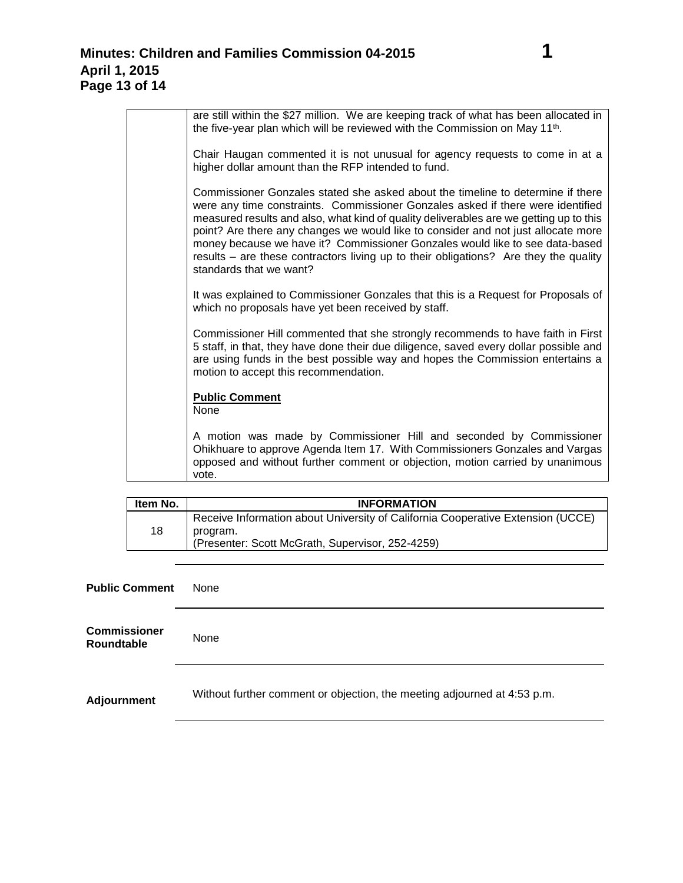| are still within the \$27 million. We are keeping track of what has been allocated in<br>the five-year plan which will be reviewed with the Commission on May 11 <sup>th</sup> .                                                                                                                                                                                                                                                                                                                                                                     |
|------------------------------------------------------------------------------------------------------------------------------------------------------------------------------------------------------------------------------------------------------------------------------------------------------------------------------------------------------------------------------------------------------------------------------------------------------------------------------------------------------------------------------------------------------|
| Chair Haugan commented it is not unusual for agency requests to come in at a<br>higher dollar amount than the RFP intended to fund.                                                                                                                                                                                                                                                                                                                                                                                                                  |
| Commissioner Gonzales stated she asked about the timeline to determine if there<br>were any time constraints. Commissioner Gonzales asked if there were identified<br>measured results and also, what kind of quality deliverables are we getting up to this<br>point? Are there any changes we would like to consider and not just allocate more<br>money because we have it? Commissioner Gonzales would like to see data-based<br>results – are these contractors living up to their obligations? Are they the quality<br>standards that we want? |
| It was explained to Commissioner Gonzales that this is a Request for Proposals of<br>which no proposals have yet been received by staff.                                                                                                                                                                                                                                                                                                                                                                                                             |
| Commissioner Hill commented that she strongly recommends to have faith in First<br>5 staff, in that, they have done their due diligence, saved every dollar possible and<br>are using funds in the best possible way and hopes the Commission entertains a<br>motion to accept this recommendation.                                                                                                                                                                                                                                                  |
| <b>Public Comment</b><br><b>None</b>                                                                                                                                                                                                                                                                                                                                                                                                                                                                                                                 |
| A motion was made by Commissioner Hill and seconded by Commissioner<br>Ohikhuare to approve Agenda Item 17. With Commissioners Gonzales and Vargas<br>opposed and without further comment or objection, motion carried by unanimous<br>vote.                                                                                                                                                                                                                                                                                                         |

| Item No. | <b>INFORMATION</b>                                                                                                                              |
|----------|-------------------------------------------------------------------------------------------------------------------------------------------------|
| 18       | Receive Information about University of California Cooperative Extension (UCCE)<br>program.<br>(Presenter: Scott McGrath, Supervisor, 252-4259) |

| <b>Public Comment</b>             | None                                                                     |
|-----------------------------------|--------------------------------------------------------------------------|
| <b>Commissioner</b><br>Roundtable | None                                                                     |
| <b>Adjournment</b>                | Without further comment or objection, the meeting adjourned at 4:53 p.m. |